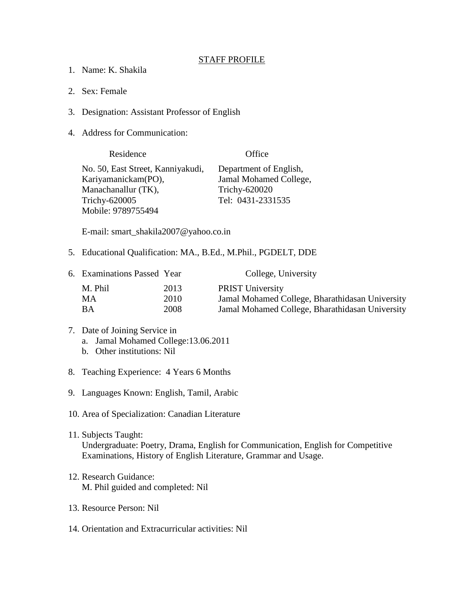## STAFF PROFILE

- 1. Name: K. Shakila
- 2. Sex: Female
- 3. Designation: Assistant Professor of English
- 4. Address for Communication:

| Residence                         | Office                 |  |
|-----------------------------------|------------------------|--|
| No. 50, East Street, Kanniyakudi, | Department of English, |  |
| Kariyamanickam(PO),               | Jamal Mohamed College, |  |
| Manachanallur (TK),               | Trichy-620020          |  |
| Trichy-620005                     | Tel: 0431-2331535      |  |
| Mobile: 9789755494                |                        |  |

E-mail: smart\_shakila2007@yahoo.co.in

5. Educational Qualification: MA., B.Ed., M.Phil., PGDELT, DDE

| 6. Examinations Passed Year |      | College, University                             |
|-----------------------------|------|-------------------------------------------------|
| M. Phil                     | 2013 | <b>PRIST University</b>                         |
| MA.                         | 2010 | Jamal Mohamed College, Bharathidasan University |
| ВA                          | 2008 | Jamal Mohamed College, Bharathidasan University |

- 7. Date of Joining Service in a. Jamal Mohamed College:13.06.2011
	- b. Other institutions: Nil
- 8. Teaching Experience: 4 Years 6 Months
- 9. Languages Known: English, Tamil, Arabic
- 10. Area of Specialization: Canadian Literature
- 11. Subjects Taught: Undergraduate: Poetry, Drama, English for Communication, English for Competitive Examinations, History of English Literature, Grammar and Usage.
- 12. Research Guidance: M. Phil guided and completed: Nil
- 13. Resource Person: Nil
- 14. Orientation and Extracurricular activities: Nil